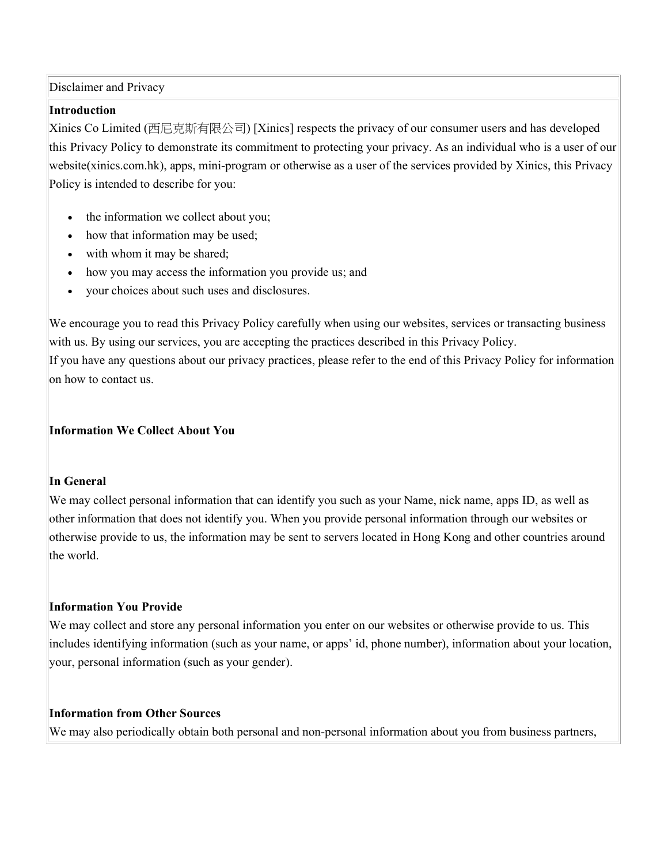Disclaimer and Privacy

#### Introduction

Xinics Co Limited (西尼克斯有限公司) [Xinics] respects the privacy of our consumer users and has developed this Privacy Policy to demonstrate its commitment to protecting your privacy. As an individual who is a user of our website(xinics.com.hk), apps, mini-program or otherwise as a user of the services provided by Xinics, this Privacy Policy is intended to describe for you:

- the information we collect about you;
- how that information may be used;
- with whom it may be shared;
- how you may access the information you provide us; and
- your choices about such uses and disclosures.

We encourage you to read this Privacy Policy carefully when using our websites, services or transacting business with us. By using our services, you are accepting the practices described in this Privacy Policy. If you have any questions about our privacy practices, please refer to the end of this Privacy Policy for information on how to contact us.

#### Information We Collect About You

#### In General

We may collect personal information that can identify you such as your Name, nick name, apps ID, as well as other information that does not identify you. When you provide personal information through our websites or otherwise provide to us, the information may be sent to servers located in Hong Kong and other countries around the world.

### Information You Provide

We may collect and store any personal information you enter on our websites or otherwise provide to us. This includes identifying information (such as your name, or apps' id, phone number), information about your location, your, personal information (such as your gender).

#### Information from Other Sources

We may also periodically obtain both personal and non-personal information about you from business partners,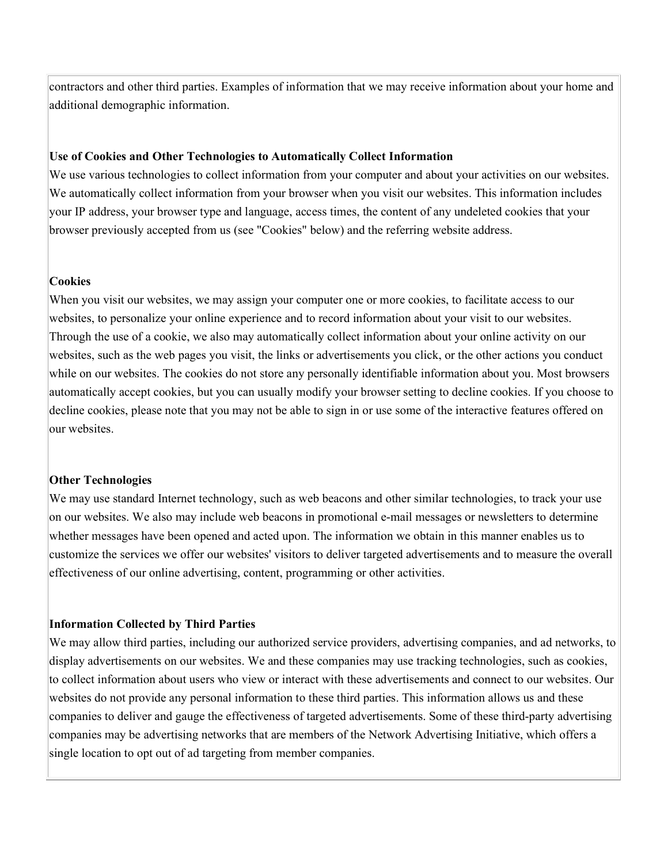contractors and other third parties. Examples of information that we may receive information about your home and additional demographic information.

#### Use of Cookies and Other Technologies to Automatically Collect Information

We use various technologies to collect information from your computer and about your activities on our websites. We automatically collect information from your browser when you visit our websites. This information includes your IP address, your browser type and language, access times, the content of any undeleted cookies that your browser previously accepted from us (see "Cookies" below) and the referring website address.

#### **Cookies**

When you visit our websites, we may assign your computer one or more cookies, to facilitate access to our websites, to personalize your online experience and to record information about your visit to our websites. Through the use of a cookie, we also may automatically collect information about your online activity on our websites, such as the web pages you visit, the links or advertisements you click, or the other actions you conduct while on our websites. The cookies do not store any personally identifiable information about you. Most browsers automatically accept cookies, but you can usually modify your browser setting to decline cookies. If you choose to decline cookies, please note that you may not be able to sign in or use some of the interactive features offered on our websites.

#### Other Technologies

We may use standard Internet technology, such as web beacons and other similar technologies, to track your use on our websites. We also may include web beacons in promotional e-mail messages or newsletters to determine whether messages have been opened and acted upon. The information we obtain in this manner enables us to customize the services we offer our websites' visitors to deliver targeted advertisements and to measure the overall effectiveness of our online advertising, content, programming or other activities.

#### Information Collected by Third Parties

We may allow third parties, including our authorized service providers, advertising companies, and ad networks, to display advertisements on our websites. We and these companies may use tracking technologies, such as cookies, to collect information about users who view or interact with these advertisements and connect to our websites. Our websites do not provide any personal information to these third parties. This information allows us and these companies to deliver and gauge the effectiveness of targeted advertisements. Some of these third-party advertising companies may be advertising networks that are members of the Network Advertising Initiative, which offers a single location to opt out of ad targeting from member companies.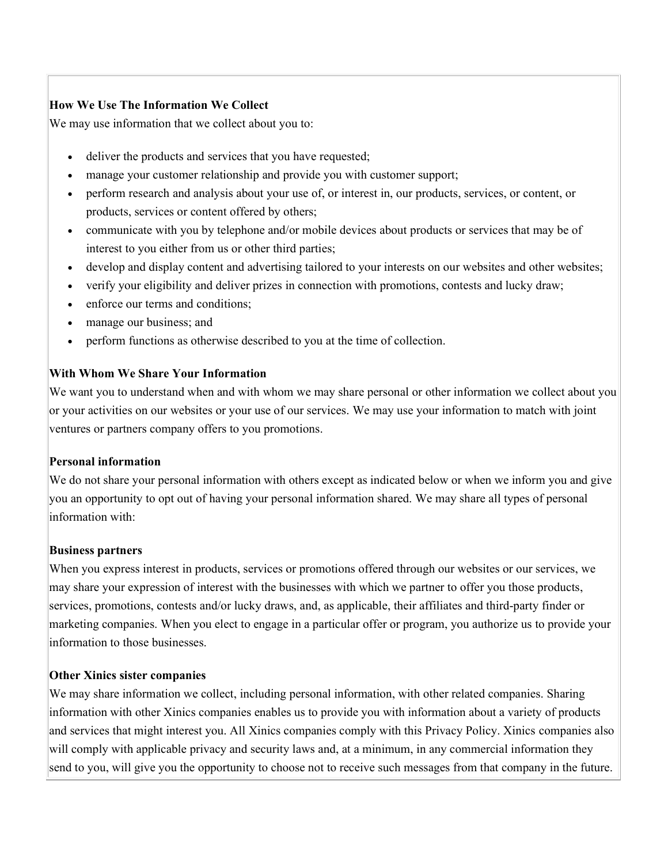# How We Use The Information We Collect

We may use information that we collect about you to:

- deliver the products and services that you have requested;
- manage your customer relationship and provide you with customer support;
- perform research and analysis about your use of, or interest in, our products, services, or content, or products, services or content offered by others;
- communicate with you by telephone and/or mobile devices about products or services that may be of interest to you either from us or other third parties;
- develop and display content and advertising tailored to your interests on our websites and other websites;
- verify your eligibility and deliver prizes in connection with promotions, contests and lucky draw;
- enforce our terms and conditions;
- manage our business; and
- perform functions as otherwise described to you at the time of collection.

## With Whom We Share Your Information

We want you to understand when and with whom we may share personal or other information we collect about you or your activities on our websites or your use of our services. We may use your information to match with joint ventures or partners company offers to you promotions.

### Personal information

We do not share your personal information with others except as indicated below or when we inform you and give you an opportunity to opt out of having your personal information shared. We may share all types of personal information with:

### Business partners

When you express interest in products, services or promotions offered through our websites or our services, we may share your expression of interest with the businesses with which we partner to offer you those products, services, promotions, contests and/or lucky draws, and, as applicable, their affiliates and third-party finder or marketing companies. When you elect to engage in a particular offer or program, you authorize us to provide your information to those businesses.

### Other Xinics sister companies

We may share information we collect, including personal information, with other related companies. Sharing information with other Xinics companies enables us to provide you with information about a variety of products and services that might interest you. All Xinics companies comply with this Privacy Policy. Xinics companies also will comply with applicable privacy and security laws and, at a minimum, in any commercial information they send to you, will give you the opportunity to choose not to receive such messages from that company in the future.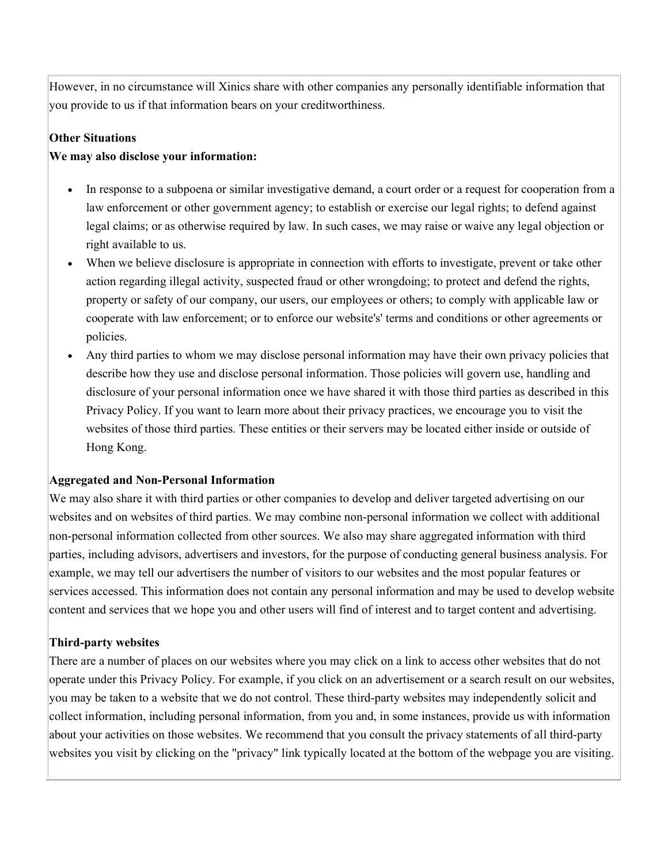However, in no circumstance will Xinics share with other companies any personally identifiable information that you provide to us if that information bears on your creditworthiness.

## Other Situations

## We may also disclose your information:

- In response to a subpoena or similar investigative demand, a court order or a request for cooperation from a law enforcement or other government agency; to establish or exercise our legal rights; to defend against legal claims; or as otherwise required by law. In such cases, we may raise or waive any legal objection or right available to us.
- When we believe disclosure is appropriate in connection with efforts to investigate, prevent or take other action regarding illegal activity, suspected fraud or other wrongdoing; to protect and defend the rights, property or safety of our company, our users, our employees or others; to comply with applicable law or cooperate with law enforcement; or to enforce our website's' terms and conditions or other agreements or policies.
- Any third parties to whom we may disclose personal information may have their own privacy policies that describe how they use and disclose personal information. Those policies will govern use, handling and disclosure of your personal information once we have shared it with those third parties as described in this Privacy Policy. If you want to learn more about their privacy practices, we encourage you to visit the websites of those third parties. These entities or their servers may be located either inside or outside of Hong Kong.

### Aggregated and Non-Personal Information

We may also share it with third parties or other companies to develop and deliver targeted advertising on our websites and on websites of third parties. We may combine non-personal information we collect with additional non-personal information collected from other sources. We also may share aggregated information with third parties, including advisors, advertisers and investors, for the purpose of conducting general business analysis. For example, we may tell our advertisers the number of visitors to our websites and the most popular features or services accessed. This information does not contain any personal information and may be used to develop website content and services that we hope you and other users will find of interest and to target content and advertising.

# Third-party websites

There are a number of places on our websites where you may click on a link to access other websites that do not operate under this Privacy Policy. For example, if you click on an advertisement or a search result on our websites, you may be taken to a website that we do not control. These third-party websites may independently solicit and collect information, including personal information, from you and, in some instances, provide us with information about your activities on those websites. We recommend that you consult the privacy statements of all third-party websites you visit by clicking on the "privacy" link typically located at the bottom of the webpage you are visiting.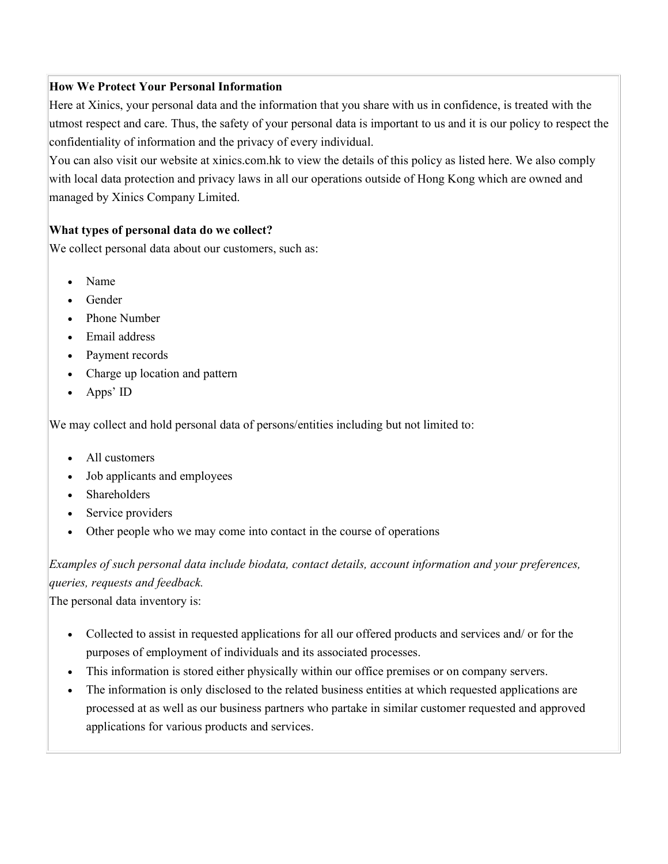## How We Protect Your Personal Information

Here at Xinics, your personal data and the information that you share with us in confidence, is treated with the utmost respect and care. Thus, the safety of your personal data is important to us and it is our policy to respect the confidentiality of information and the privacy of every individual.

You can also visit our website at xinics.com.hk to view the details of this policy as listed here. We also comply with local data protection and privacy laws in all our operations outside of Hong Kong which are owned and managed by Xinics Company Limited.

## What types of personal data do we collect?

We collect personal data about our customers, such as:

- Name
- Gender
- Phone Number
- Email address
- Payment records
- Charge up location and pattern
- Apps' ID

We may collect and hold personal data of persons/entities including but not limited to:

- All customers
- Job applicants and employees
- Shareholders
- Service providers
- Other people who we may come into contact in the course of operations

Examples of such personal data include biodata, contact details, account information and your preferences, queries, requests and feedback.

The personal data inventory is:

- Collected to assist in requested applications for all our offered products and services and/ or for the purposes of employment of individuals and its associated processes.
- This information is stored either physically within our office premises or on company servers.
- The information is only disclosed to the related business entities at which requested applications are processed at as well as our business partners who partake in similar customer requested and approved applications for various products and services.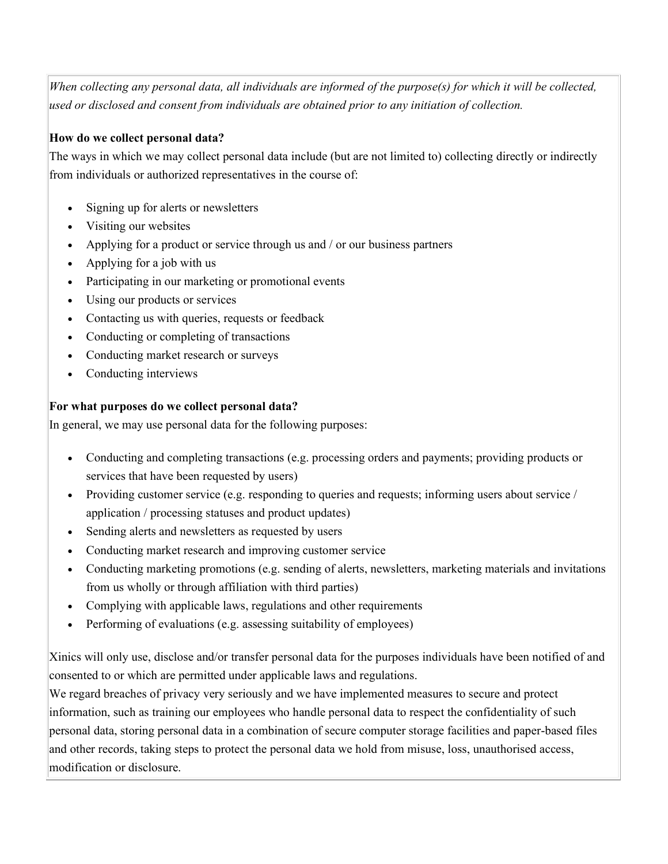When collecting any personal data, all individuals are informed of the purpose(s) for which it will be collected, used or disclosed and consent from individuals are obtained prior to any initiation of collection.

# How do we collect personal data?

The ways in which we may collect personal data include (but are not limited to) collecting directly or indirectly from individuals or authorized representatives in the course of:

- Signing up for alerts or newsletters
- Visiting our websites
- Applying for a product or service through us and / or our business partners
- Applying for a job with us
- Participating in our marketing or promotional events
- Using our products or services
- Contacting us with queries, requests or feedback
- Conducting or completing of transactions
- Conducting market research or surveys
- Conducting interviews

# For what purposes do we collect personal data?

In general, we may use personal data for the following purposes:

- Conducting and completing transactions (e.g. processing orders and payments; providing products or services that have been requested by users)
- Providing customer service (e.g. responding to queries and requests; informing users about service / application / processing statuses and product updates)
- Sending alerts and newsletters as requested by users
- Conducting market research and improving customer service
- Conducting marketing promotions (e.g. sending of alerts, newsletters, marketing materials and invitations from us wholly or through affiliation with third parties)
- Complying with applicable laws, regulations and other requirements
- Performing of evaluations (e.g. assessing suitability of employees)

Xinics will only use, disclose and/or transfer personal data for the purposes individuals have been notified of and consented to or which are permitted under applicable laws and regulations.

We regard breaches of privacy very seriously and we have implemented measures to secure and protect information, such as training our employees who handle personal data to respect the confidentiality of such personal data, storing personal data in a combination of secure computer storage facilities and paper-based files and other records, taking steps to protect the personal data we hold from misuse, loss, unauthorised access, modification or disclosure.